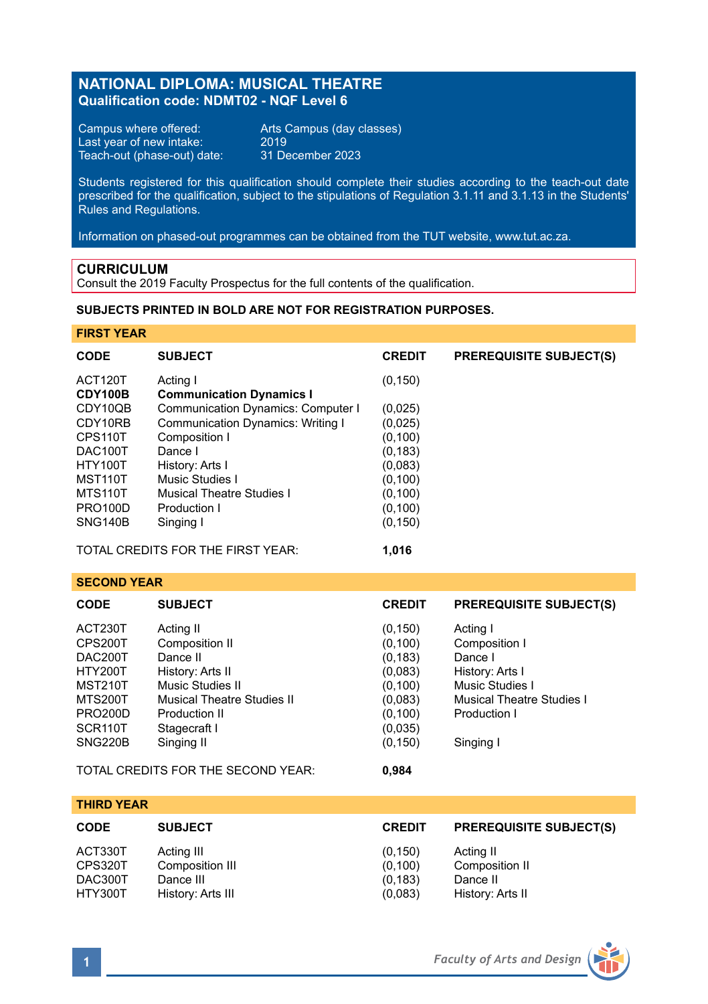# **NATIONAL DIPLOMA: MUSICAL THEATRE Qualification code: NDMT02 - NQF Level 6**

Campus where offered: Arts Campus (day classes)<br>Last year of new intake: 2019 Last year of new intake: 2019 Teach-out (phase-out) date: 31 December 2023

Students registered for this qualification should complete their studies according to the teach-out date prescribed for the qualification, subject to the stipulations of Regulation 3.1.11 and 3.1.13 in the Students' Rules and Regulations.

Information on phased-out programmes can be obtained from the TUT website, www.tut.ac.za.

### **CURRICULUM**

Consult the 2019 Faculty Prospectus for the full contents of the qualification.

# **SUBJECTS PRINTED IN BOLD ARE NOT FOR REGISTRATION PURPOSES.**

### **FIRST YEAR**

| <b>CODE</b>                                                                                                      | <b>SUBJECT</b>                                                                                                                                                                                             | <b>CREDIT</b>                                                                                         | <b>PREREQUISITE SUBJECT(S)</b>                                                                                                 |  |  |  |
|------------------------------------------------------------------------------------------------------------------|------------------------------------------------------------------------------------------------------------------------------------------------------------------------------------------------------------|-------------------------------------------------------------------------------------------------------|--------------------------------------------------------------------------------------------------------------------------------|--|--|--|
| ACT120T<br>CDY100B                                                                                               | Acting I<br><b>Communication Dynamics I</b>                                                                                                                                                                | (0, 150)                                                                                              |                                                                                                                                |  |  |  |
| CDY10QB<br>CDY10RB<br>CPS110T<br>DAC100T<br><b>HTY100T</b><br>MST110T<br>MTS110T<br><b>PRO100D</b><br>SNG140B    | <b>Communication Dynamics: Computer I</b><br>Communication Dynamics: Writing I<br>Composition I<br>Dance I<br>History: Arts I<br>Music Studies I<br>Musical Theatre Studies I<br>Production I<br>Singing I | (0,025)<br>(0,025)<br>(0, 100)<br>(0, 183)<br>(0,083)<br>(0, 100)<br>(0, 100)<br>(0, 100)<br>(0, 150) |                                                                                                                                |  |  |  |
| TOTAL CREDITS FOR THE FIRST YEAR:<br>1,016                                                                       |                                                                                                                                                                                                            |                                                                                                       |                                                                                                                                |  |  |  |
| <b>SECOND YEAR</b>                                                                                               |                                                                                                                                                                                                            |                                                                                                       |                                                                                                                                |  |  |  |
| <b>CODE</b>                                                                                                      | <b>SUBJECT</b>                                                                                                                                                                                             | <b>CREDIT</b>                                                                                         | <b>PREREQUISITE SUBJECT(S)</b>                                                                                                 |  |  |  |
| ACT230T<br>CPS200T<br>DAC200T<br><b>HTY200T</b><br><b>MST210T</b><br><b>MTS200T</b><br><b>PRO200D</b><br>SCR110T | Acting II<br>Composition II<br>Dance II<br>History: Arts II<br>Music Studies II<br>Musical Theatre Studies II<br>Production II<br>Stagecraft I                                                             | (0, 150)<br>(0, 100)<br>(0, 183)<br>(0,083)<br>(0, 100)<br>(0,083)<br>(0, 100)<br>(0,035)             | Acting I<br>Composition I<br>Dance I<br>History: Arts I<br>Music Studies I<br><b>Musical Theatre Studies I</b><br>Production I |  |  |  |
| <b>SNG220B</b>                                                                                                   | Singing II                                                                                                                                                                                                 | (0.150)                                                                                               | Singing I                                                                                                                      |  |  |  |

TOTAL CREDITS FOR THE SECOND YEAR: **0,984**

| <b>CODE</b><br><b>SUBJECT</b>                                                                               | <b>CREDIT</b>                              | <b>PREREQUISITE SUBJECT(S)</b>                              |
|-------------------------------------------------------------------------------------------------------------|--------------------------------------------|-------------------------------------------------------------|
| ACT330T<br>Acting III<br>Composition III<br>CPS320T<br>DAC300T<br>Dance III<br>HTY300T<br>History: Arts III | (0, 150)<br>(0.100)<br>(0, 183)<br>(0,083) | Acting II<br>Composition II<br>Dance II<br>History: Arts II |



**THIRD YEAR**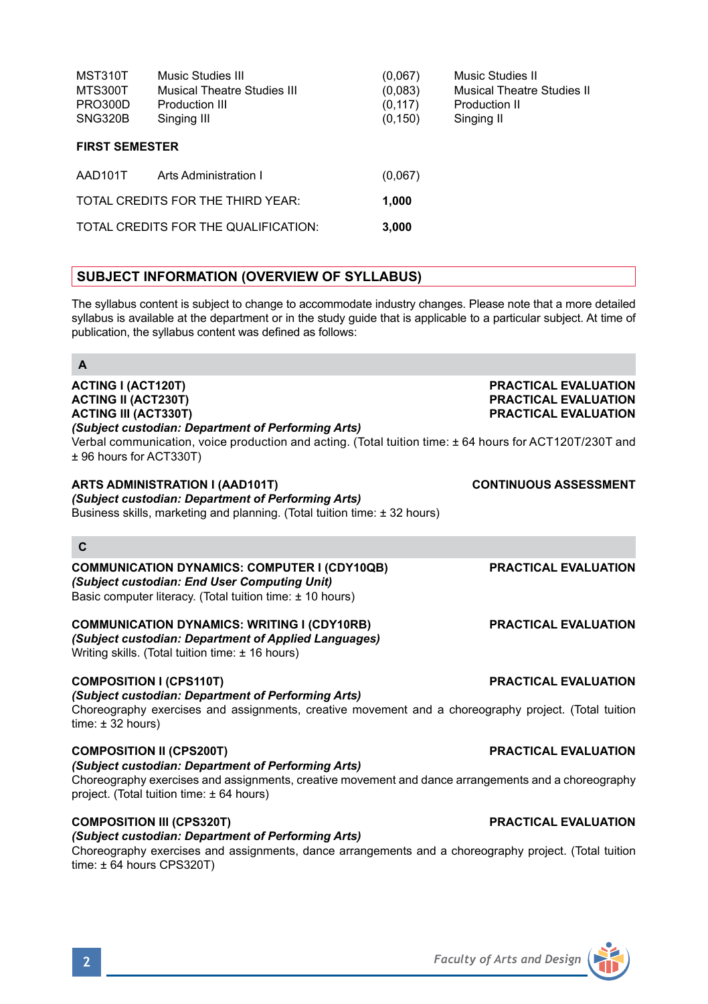| MST310T<br>MTS300T<br>PRO300D<br>SNG320B | Music Studies III<br>Musical Theatre Studies III<br>Production III<br>Singing III | (0.067)<br>(0,083)<br>(0, 117)<br>(0, 150) | Music Studies II<br>Musical Theatre Studies II<br>Production II<br>Singing II |  |  |  |
|------------------------------------------|-----------------------------------------------------------------------------------|--------------------------------------------|-------------------------------------------------------------------------------|--|--|--|
| <b>FIRST SEMESTER</b>                    |                                                                                   |                                            |                                                                               |  |  |  |
| AAD101T                                  | Arts Administration I                                                             | (0,067)                                    |                                                                               |  |  |  |
| TOTAL CREDITS FOR THE THIRD YEAR:        |                                                                                   | 1.000                                      |                                                                               |  |  |  |
| TOTAL CREDITS FOR THE QUALIFICATION:     |                                                                                   | 3,000                                      |                                                                               |  |  |  |
|                                          |                                                                                   |                                            |                                                                               |  |  |  |

# **SUBJECT INFORMATION (OVERVIEW OF SYLLABUS)**

The syllabus content is subject to change to accommodate industry changes. Please note that a more detailed syllabus is available at the department or in the study guide that is applicable to a particular subject. At time of publication, the syllabus content was defined as follows:

| A                                                                                                                                                                                                                                                                                  |                                                                             |
|------------------------------------------------------------------------------------------------------------------------------------------------------------------------------------------------------------------------------------------------------------------------------------|-----------------------------------------------------------------------------|
| <b>ACTING I (ACT120T)</b><br><b>ACTING II (ACT230T)</b><br><b>ACTING III (ACT330T)</b><br>(Subject custodian: Department of Performing Arts)<br>Verbal communication, voice production and acting. (Total tuition time: ± 64 hours for ACT120T/230T and<br>± 96 hours for ACT330T) | <b>PRACTICAL EVALUATION</b><br>PRACTICAL EVALUATION<br>PRACTICAL EVALUATION |
| ARTS ADMINISTRATION I (AAD101T)<br>(Subject custodian: Department of Performing Arts)<br>Business skills, marketing and planning. (Total tuition time: ± 32 hours)                                                                                                                 | <b>CONTINUOUS ASSESSMENT</b>                                                |
| C                                                                                                                                                                                                                                                                                  |                                                                             |
| <b>COMMUNICATION DYNAMICS: COMPUTER I (CDY10QB)</b><br>(Subject custodian: End User Computing Unit)<br>Basic computer literacy. (Total tuition time: ± 10 hours)                                                                                                                   | <b>PRACTICAL EVALUATION</b>                                                 |
| <b>COMMUNICATION DYNAMICS: WRITING I (CDY10RB)</b><br>(Subject custodian: Department of Applied Languages)<br>Writing skills. (Total tuition time: $\pm$ 16 hours)                                                                                                                 | <b>PRACTICAL EVALUATION</b>                                                 |
| <b>COMPOSITION I (CPS110T)</b><br>(Subject custodian: Department of Performing Arts)<br>Choreography exercises and assignments, creative movement and a choreography project. (Total tuition<br>time: ± 32 hours)                                                                  | <b>PRACTICAL EVALUATION</b>                                                 |
| <b>COMPOSITION II (CPS200T)</b><br>(Subject custodian: Department of Performing Arts)<br>Choreography exercises and assignments, creative movement and dance arrangements and a choreography<br>project. (Total tuition time: ± 64 hours)                                          | <b>PRACTICAL EVALUATION</b>                                                 |
| <b>COMPOSITION III (CPS320T)</b><br>(Subject custodian: Department of Performing Arts)<br>Choreography exercises and assignments, dance arrangements and a choreography project. (Total tuition<br>time: $\pm$ 64 hours CPS320T)                                                   | <b>PRACTICAL EVALUATION</b>                                                 |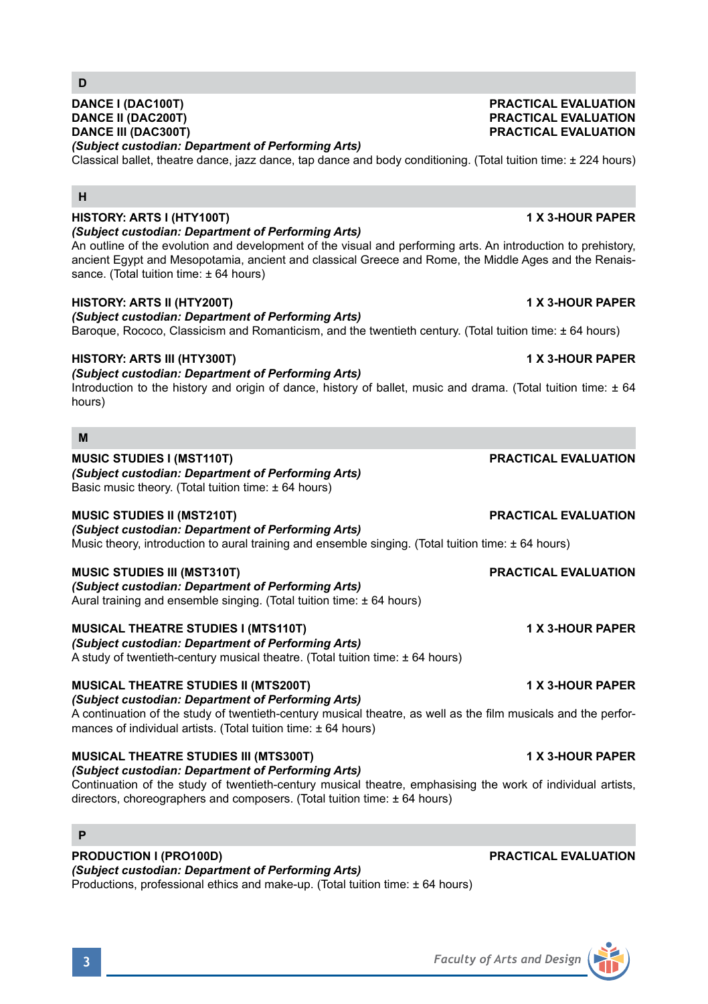### **DANCE I (DAC100T) PRACTICAL EVALUATION DANCE II (DAC200T) PRACTICAL EVALUATION DANCE III (DAC300T) PRACTICAL EVALUATION**

*(Subject custodian: Department of Performing Arts)*

Classical ballet, theatre dance, jazz dance, tap dance and body conditioning. (Total tuition time: ± 224 hours)

# **H**

**D**

### **HISTORY: ARTS I (HTY100T) 1 X 3-HOUR PAPER** *(Subject custodian: Department of Performing Arts)*

An outline of the evolution and development of the visual and performing arts. An introduction to prehistory, ancient Egypt and Mesopotamia, ancient and classical Greece and Rome, the Middle Ages and the Renaissance. (Total tuition time: ± 64 hours)

# **HISTORY: ARTS II (HTY200T) 1 X 3-HOUR PAPER**

*(Subject custodian: Department of Performing Arts)*

Baroque, Rococo, Classicism and Romanticism, and the twentieth century. (Total tuition time: ± 64 hours)

### **HISTORY: ARTS III (HTY300T) 1 X 3-HOUR PAPER**

*(Subject custodian: Department of Performing Arts)*

Introduction to the history and origin of dance, history of ballet, music and drama. (Total tuition time: ± 64 hours)

### **M**

## **MUSIC STUDIES I (MST110T) PRACTICAL EVALUATION**

*(Subject custodian: Department of Performing Arts)*

Basic music theory. (Total tuition time:  $\pm 64$  hours)

### **MUSIC STUDIES II (MST210T) PRACTICAL EVALUATION**

*(Subject custodian: Department of Performing Arts)* Music theory, introduction to aural training and ensemble singing. (Total tuition time: ± 64 hours)

### **MUSIC STUDIES III (MST310T) PRACTICAL EVALUATION**

*(Subject custodian: Department of Performing Arts)* Aural training and ensemble singing. (Total tuition time: ± 64 hours)

A study of twentieth-century musical theatre. (Total tuition time: ± 64 hours)

**MUSICAL THEATRE STUDIES I (MTS110T) 1 X 3-HOUR PAPER**

**MUSICAL THEATRE STUDIES II (MTS200T) 1 X 3-HOUR PAPER**

### *(Subject custodian: Department of Performing Arts)*

*(Subject custodian: Department of Performing Arts)*

A continuation of the study of twentieth-century musical theatre, as well as the film musicals and the performances of individual artists. (Total tuition time: ± 64 hours)

# **MUSICAL THEATRE STUDIES III (MTS300T) 1 X 3-HOUR PAPER**

*(Subject custodian: Department of Performing Arts)* Continuation of the study of twentieth-century musical theatre, emphasising the work of individual artists, directors, choreographers and composers. (Total tuition time: ± 64 hours)

# **P**

### *(Subject custodian: Department of Performing Arts)*

Productions, professional ethics and make-up. (Total tuition time: ± 64 hours)

# **PRODUCTION I (PRO100D) PRACTICAL EVALUATION**